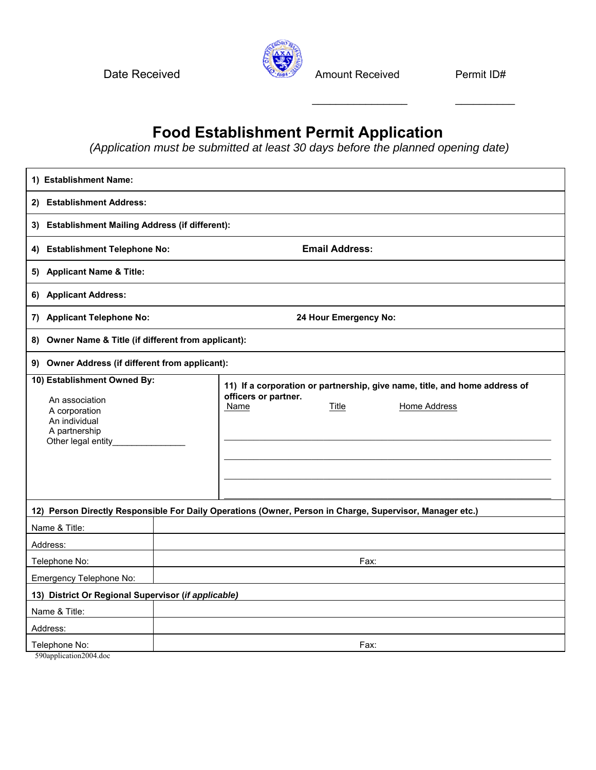Date Received **Amount Received** Permit ID#



 $\mathcal{L}_\text{max}$  , which is a set of the set of the set of the set of the set of the set of the set of the set of the set of the set of the set of the set of the set of the set of the set of the set of the set of the set of

## **Food Establishment Permit Application**

 *(Application must be submitted at least 30 days before the planned opening date)* 

| 1) Establishment Name:                                                                                                 |                       |                              |       |                                                                                                   |  |  |  |
|------------------------------------------------------------------------------------------------------------------------|-----------------------|------------------------------|-------|---------------------------------------------------------------------------------------------------|--|--|--|
| 2) Establishment Address:                                                                                              |                       |                              |       |                                                                                                   |  |  |  |
| 3) Establishment Mailing Address (if different):                                                                       |                       |                              |       |                                                                                                   |  |  |  |
| <b>Establishment Telephone No:</b><br>4)                                                                               | <b>Email Address:</b> |                              |       |                                                                                                   |  |  |  |
| 5) Applicant Name & Title:                                                                                             |                       |                              |       |                                                                                                   |  |  |  |
| 6) Applicant Address:                                                                                                  |                       |                              |       |                                                                                                   |  |  |  |
| 7) Applicant Telephone No:<br>24 Hour Emergency No:                                                                    |                       |                              |       |                                                                                                   |  |  |  |
| Owner Name & Title (if different from applicant):<br>8)                                                                |                       |                              |       |                                                                                                   |  |  |  |
| <b>Owner Address (if different from applicant):</b><br>9)                                                              |                       |                              |       |                                                                                                   |  |  |  |
| 10) Establishment Owned By:<br>An association<br>A corporation<br>An individual<br>A partnership<br>Other legal entity |                       | officers or partner.<br>Name | Title | 11) If a corporation or partnership, give name, title, and home address of<br><b>Home Address</b> |  |  |  |
| 12) Person Directly Responsible For Daily Operations (Owner, Person in Charge, Supervisor, Manager etc.)               |                       |                              |       |                                                                                                   |  |  |  |
| Name & Title:                                                                                                          |                       |                              |       |                                                                                                   |  |  |  |
| Address:                                                                                                               |                       |                              |       |                                                                                                   |  |  |  |
| Telephone No:                                                                                                          |                       |                              | Fax:  |                                                                                                   |  |  |  |
| Emergency Telephone No:                                                                                                |                       |                              |       |                                                                                                   |  |  |  |
| 13) District Or Regional Supervisor (if applicable)                                                                    |                       |                              |       |                                                                                                   |  |  |  |
| Name & Title:                                                                                                          |                       |                              |       |                                                                                                   |  |  |  |
| Address:                                                                                                               |                       |                              |       |                                                                                                   |  |  |  |
| Telephone No:<br>Fax:                                                                                                  |                       |                              |       |                                                                                                   |  |  |  |

590application2004.doc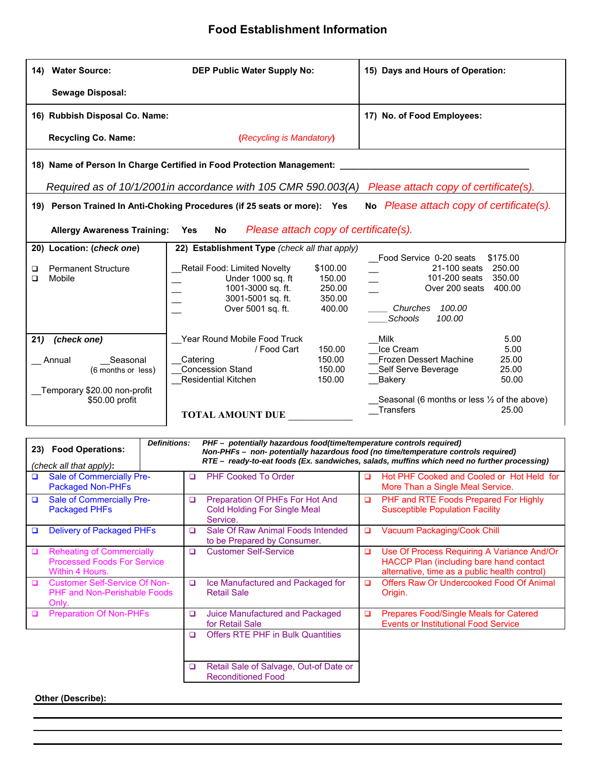### **Food Establishment Information**

| 14) Water Source:                                                                                                                                                                                         | DEP Public Water Supply No:                                                                                                                                                  | 15) Days and Hours of Operation:                                                                                                                                                                                      |  |  |  |  |  |  |  |  |  |
|-----------------------------------------------------------------------------------------------------------------------------------------------------------------------------------------------------------|------------------------------------------------------------------------------------------------------------------------------------------------------------------------------|-----------------------------------------------------------------------------------------------------------------------------------------------------------------------------------------------------------------------|--|--|--|--|--|--|--|--|--|
| <b>Sewage Disposal:</b>                                                                                                                                                                                   |                                                                                                                                                                              |                                                                                                                                                                                                                       |  |  |  |  |  |  |  |  |  |
| 16) Rubbish Disposal Co. Name:                                                                                                                                                                            |                                                                                                                                                                              | 17) No. of Food Employees:                                                                                                                                                                                            |  |  |  |  |  |  |  |  |  |
| <b>Recycling Co. Name:</b>                                                                                                                                                                                | (Recycling is Mandatory)                                                                                                                                                     |                                                                                                                                                                                                                       |  |  |  |  |  |  |  |  |  |
| 18) Name of Person In Charge Certified in Food Protection Management:                                                                                                                                     |                                                                                                                                                                              |                                                                                                                                                                                                                       |  |  |  |  |  |  |  |  |  |
| Required as of 10/1/2001in accordance with 105 CMR 590.003(A) Please attach copy of certificate(s).                                                                                                       |                                                                                                                                                                              |                                                                                                                                                                                                                       |  |  |  |  |  |  |  |  |  |
| No Please attach copy of certificate(s).<br>19) Person Trained In Anti-Choking Procedures (if 25 seats or more): Yes                                                                                      |                                                                                                                                                                              |                                                                                                                                                                                                                       |  |  |  |  |  |  |  |  |  |
| Please attach copy of certificate(s).<br><b>Allergy Awareness Training:</b><br>No<br><b>Yes</b>                                                                                                           |                                                                                                                                                                              |                                                                                                                                                                                                                       |  |  |  |  |  |  |  |  |  |
| 22) Establishment Type (check all that apply)<br>20) Location: (check one)                                                                                                                                |                                                                                                                                                                              |                                                                                                                                                                                                                       |  |  |  |  |  |  |  |  |  |
| <b>Permanent Structure</b><br>❏<br>Mobile<br>◻                                                                                                                                                            | Retail Food: Limited Novelty<br>\$100.00<br>Under 1000 sq. ft<br>150.00<br>1001-3000 sq. ft.<br>250.00<br>3001-5001 sq. ft.<br>350.00<br>Over 5001 sq. ft.<br>400.00         | Food Service 0-20 seats<br>\$175.00<br>21-100 seats 250.00<br>101-200 seats<br>350.00<br>Over 200 seats 400.00<br>100.00<br>Churches<br>Schools<br>100.00                                                             |  |  |  |  |  |  |  |  |  |
| 21)<br>(check one)<br>Seasonal<br>Annual<br>(6 months or less)<br>Temporary \$20.00 non-profit<br>\$50.00 profit                                                                                          | Year Round Mobile Food Truck<br>/ Food Cart<br>150.00<br>150.00<br>Catering<br><b>Concession Stand</b><br>150.00<br>150.00<br>Residential Kitchen<br><b>TOTAL AMOUNT DUE</b> | <b>Milk</b><br>5.00<br>Ice Cream<br>5.00<br><b>Frozen Dessert Machine</b><br>25.00<br>Self Serve Beverage<br>25.00<br>50.00<br>Bakery<br>Seasonal (6 months or less $\frac{1}{2}$ of the above)<br>Transfers<br>25.00 |  |  |  |  |  |  |  |  |  |
| PHF - potentially hazardous food(time/temperature controls required)<br><b>Definitions:</b><br>23) Food Operations:<br>Non-PHFs - non- potentially hazardous food (no time/temperature controls required) |                                                                                                                                                                              |                                                                                                                                                                                                                       |  |  |  |  |  |  |  |  |  |
| RTE - ready-to-eat foods (Ex. sandwiches, salads, muffins which need no further processing)<br>(check all that apply):                                                                                    |                                                                                                                                                                              |                                                                                                                                                                                                                       |  |  |  |  |  |  |  |  |  |
| <b>Sale of Commercially Pre-</b><br><b>Packaged Non-PHFs</b>                                                                                                                                              | PHF Cooked To Order<br>$\Box$                                                                                                                                                | $\Box$<br>Hot PHF Cooked and Cooled or Hot Held for<br>More Than a Single Meal Service.                                                                                                                               |  |  |  |  |  |  |  |  |  |
|                                                                                                                                                                                                           | $\sim$ $\sim$ $\sim$ $\sim$                                                                                                                                                  |                                                                                                                                                                                                                       |  |  |  |  |  |  |  |  |  |

|        | <b>Packaged Non-PHFs</b>                                                                  |        |                                                                                    |        | More Than a Single Meal Service.                                                                                                       |
|--------|-------------------------------------------------------------------------------------------|--------|------------------------------------------------------------------------------------|--------|----------------------------------------------------------------------------------------------------------------------------------------|
| $\Box$ | Sale of Commercially Pre-<br><b>Packaged PHFs</b>                                         | $\Box$ | Preparation Of PHFs For Hot And<br><b>Cold Holding For Single Meal</b><br>Service. | $\Box$ | PHF and RTE Foods Prepared For Highly<br><b>Susceptible Population Facility</b>                                                        |
| ◘      | <b>Delivery of Packaged PHFs</b>                                                          | □      | Sale Of Raw Animal Foods Intended<br>to be Prepared by Consumer.                   | $\Box$ | Vacuum Packaging/Cook Chill                                                                                                            |
| □      | <b>Reheating of Commercially</b><br><b>Processed Foods For Service</b><br>Within 4 Hours. | ◻      | <b>Customer Self-Service</b>                                                       | $\Box$ | Use Of Process Requiring A Variance And/Or<br>HACCP Plan (including bare hand contact<br>alternative, time as a public health control) |
| n      | <b>Customer Self-Service Of Non-</b><br><b>PHF and Non-Perishable Foods</b><br>Only.      | $\Box$ | Ice Manufactured and Packaged for<br><b>Retail Sale</b>                            | ◻      | Offers Raw Or Undercooked Food Of Animal<br>Origin.                                                                                    |
|        | <b>Preparation Of Non-PHFs</b>                                                            | $\Box$ | Juice Manufactured and Packaged<br>for Retail Sale                                 | o      | <b>Prepares Food/Single Meals for Catered</b><br><b>Events or Institutional Food Service</b>                                           |
|        |                                                                                           | ◻      | <b>Offers RTE PHF in Bulk Quantities</b>                                           |        |                                                                                                                                        |
|        |                                                                                           | $\Box$ | Retail Sale of Salvage, Out-of Date or<br><b>Reconditioned Food</b>                |        |                                                                                                                                        |

#### **Other (Describe):**